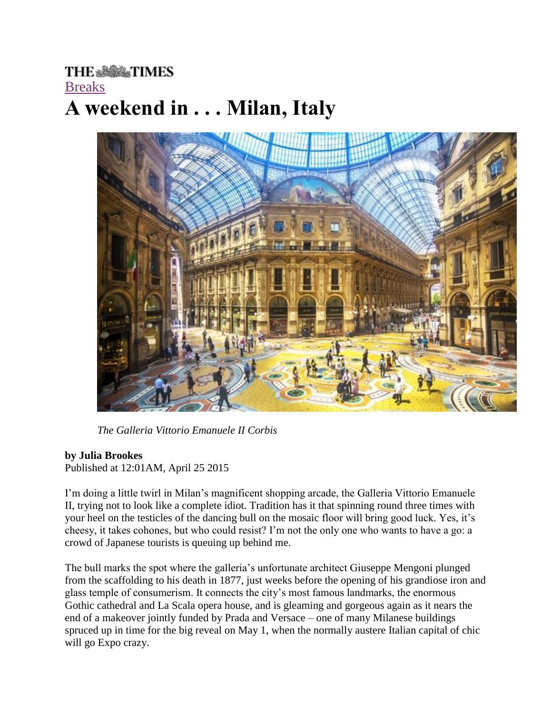# **THE SUBAR TIMES** [Breaks](http://www.thetimes.co.uk/tto/travel/holidays/breaks/) **A weekend in . . . Milan, Italy**



*The Galleria Vittorio Emanuele II Corbis*

### **by Julia Brookes**

Published at 12:01AM, April 25 2015

I'm doing a little twirl in Milan's magnificent shopping arcade, the Galleria Vittorio Emanuele II, trying not to look like a complete idiot. Tradition has it that spinning round three times with your heel on the testicles of the dancing bull on the mosaic floor will bring good luck. Yes, it's cheesy, it takes cohones, but who could resist? I'm not the only one who wants to have a go: a crowd of Japanese tourists is queuing up behind me.

The bull marks the spot where the galleria's unfortunate architect Giuseppe Mengoni plunged from the scaffolding to his death in 1877, just weeks before the opening of his grandiose iron and glass temple of consumerism. It connects the city's most famous landmarks, the enormous Gothic cathedral and La Scala opera house, and is gleaming and gorgeous again as it nears the end of a makeover jointly funded by Prada and Versace – one of many Milanese buildings spruced up in time for the big reveal on May 1, when the normally austere Italian capital of chic will go Expo crazy.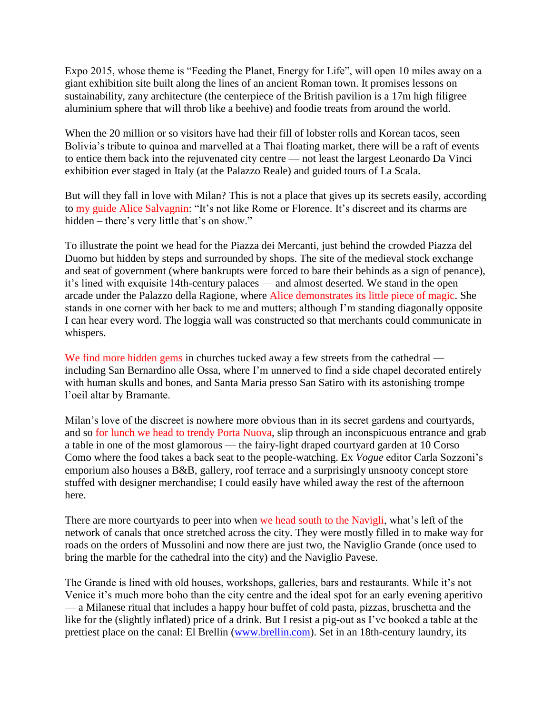Expo 2015, whose theme is "Feeding the Planet, Energy for Life", will open 10 miles away on a giant exhibition site built along the lines of an ancient Roman town. It promises lessons on sustainability, zany architecture (the centerpiece of the British pavilion is a 17m high filigree aluminium sphere that will throb like a beehive) and foodie treats from around the world.

When the 20 million or so visitors have had their fill of lobster rolls and Korean tacos, seen Bolivia's tribute to quinoa and marvelled at a Thai floating market, there will be a raft of events to entice them back into the rejuvenated city centre — not least the largest Leonardo Da Vinci exhibition ever staged in Italy (at the Palazzo Reale) and guided tours of La Scala.

But will they fall in love with Milan? This is not a place that gives up its secrets easily, according to my guide Alice Salvagnin: "It's not like Rome or Florence. It's discreet and its charms are hidden – there's very little that's on show."

To illustrate the point we head for the Piazza dei Mercanti, just behind the crowded Piazza del Duomo but hidden by steps and surrounded by shops. The site of the medieval stock exchange and seat of government (where bankrupts were forced to bare their behinds as a sign of penance), it's lined with exquisite 14th-century palaces — and almost deserted. We stand in the open arcade under the Palazzo della Ragione, where Alice demonstrates its little piece of magic. She stands in one corner with her back to me and mutters; although I'm standing diagonally opposite I can hear every word. The loggia wall was constructed so that merchants could communicate in whispers.

We find more hidden gems in churches tucked away a few streets from the cathedral including San Bernardino alle Ossa, where I'm unnerved to find a side chapel decorated entirely with human skulls and bones, and Santa Maria presso San Satiro with its astonishing trompe l'oeil altar by Bramante.

Milan's love of the discreet is nowhere more obvious than in its secret gardens and courtyards, and so for lunch we head to trendy Porta Nuova, slip through an inconspicuous entrance and grab a table in one of the most glamorous — the fairy-light draped courtyard garden at 10 Corso Como where the food takes a back seat to the people-watching. Ex *Vogue* editor Carla Sozzoni's emporium also houses a B&B, gallery, roof terrace and a surprisingly unsnooty concept store stuffed with designer merchandise; I could easily have whiled away the rest of the afternoon here.

There are more courtyards to peer into when we head south to the Navigli, what's left of the network of canals that once stretched across the city. They were mostly filled in to make way for roads on the orders of Mussolini and now there are just two, the Naviglio Grande (once used to bring the marble for the cathedral into the city) and the Naviglio Pavese.

The Grande is lined with old houses, workshops, galleries, bars and restaurants. While it's not Venice it's much more boho than the city centre and the ideal spot for an early evening aperitivo — a Milanese ritual that includes a happy hour buffet of cold pasta, pizzas, bruschetta and the like for the (slightly inflated) price of a drink. But I resist a pig-out as I've booked a table at the prettiest place on the canal: El Brellin [\(www.brellin.com\)](http://www.brellin.com/). Set in an 18th-century laundry, its